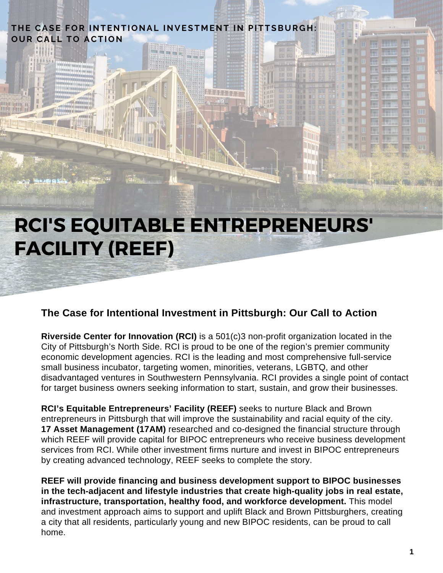#### **T H E CASE FOR INTENTIONAL INVEST M ENT IN PITTSB UR G H : OU R CAL L TO ACTION**

**RCI'S EQUITABLE ENTREPRENEURS' FACILITY (REEF)**

#### **The Case for Intentional Investment in Pittsburgh: Our Call to Action**

**Riverside Center for Innovation (RCI)** is a 501(c)3 non-profit organization located in the City of Pittsburgh's North Side. RCI is proud to be one of the region's premier community economic development agencies. RCI is the leading and most comprehensive full-service small business incubator, targeting women, minorities, veterans, LGBTQ, and other disadvantaged ventures in Southwestern Pennsylvania. RCI provides a single point of contact for target business owners seeking information to start, sustain, and grow their businesses.

**RCI's Equitable Entrepreneurs' Facility (REEF)** seeks to nurture Black and Brown entrepreneurs in Pittsburgh that will improve the sustainability and racial equity of the city. **17 Asset Management (17AM)** researched and co-designed the financial structure through which REEF will provide capital for BIPOC entrepreneurs who receive business development services from RCI. While other investment firms nurture and invest in BIPOC entrepreneurs by creating advanced technology, REEF seeks to complete the story.

**REEF will provide financing and business development support to BIPOC businesses in the tech-adjacent and lifestyle industries that create high-quality jobs in real estate, infrastructure, transportation, healthy food, and workforce development.** This model and investment approach aims to support and uplift Black and Brown Pittsburghers, creating a city that all residents, particularly young and new BIPOC residents, can be proud to call home.

Im.

m **Time**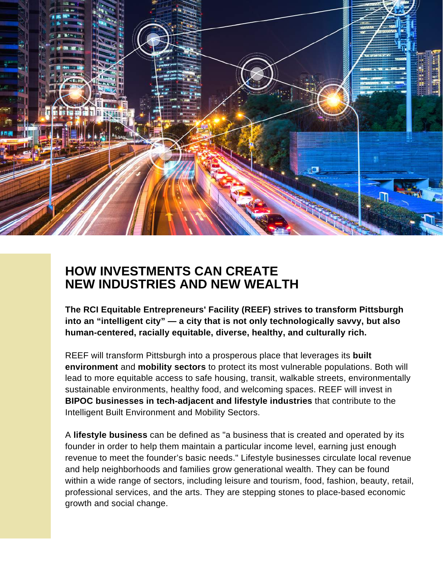

# **HOW INVESTMENTS CAN CREATE NEW INDUSTRIES AND NEW WEALTH**

**The RCI Equitable Entrepreneurs' Facility (REEF) strives to transform Pittsburgh into an "intelligent city" — a city that is not only technologically savvy, but also human-centered, racially equitable, diverse, healthy, and culturally rich.**

REEF will transform Pittsburgh into a prosperous place that leverages its **built environment** and **mobility sectors** to protect its most vulnerable populations. Both will lead to more equitable access to safe housing, transit, walkable streets, environmentally sustainable environments, healthy food, and welcoming spaces. REEF will invest in **BIPOC businesses in tech-adjacent and lifestyle industries** that contribute to the Intelligent Built Environment and Mobility Sectors.

A **lifestyle business** can be defined as "a business that is created and operated by its founder in order to help them maintain a particular income level, earning just enough revenue to meet the founder's basic needs." Lifestyle businesses circulate local revenue and help neighborhoods and families grow generational wealth. They can be found within a wide range of sectors, including leisure and tourism, food, fashion, beauty, retail, professional services, and the arts. They are stepping stones to place-based economic growth and social change.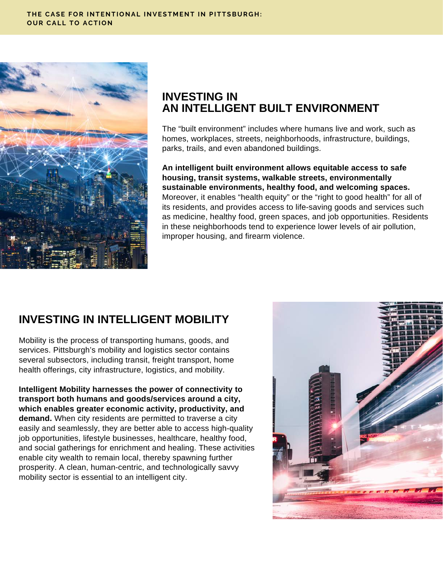

### **INVESTING IN AN INTELLIGENT BUILT ENVIRONMENT**

The "built environment" includes where humans live and work, such as homes, workplaces, streets, neighborhoods, infrastructure, buildings, parks, trails, and even abandoned buildings.

**An intelligent built environment allows equitable access to safe housing, transit systems, walkable streets, environmentally sustainable environments, healthy food, and welcoming spaces.** Moreover, it enables "health equity" or the "right to good health" for all of its residents, and provides access to life-saving goods and services such as medicine, healthy food, green spaces, and job opportunities. Residents in these neighborhoods tend to experience lower levels of air pollution, improper housing, and firearm violence.

# **INVESTING IN INTELLIGENT MOBILITY**

Mobility is the process of transporting humans, goods, and services. Pittsburgh's mobility and logistics sector contains several subsectors, including transit, freight transport, home health offerings, city infrastructure, logistics, and mobility.

**Intelligent Mobility harnesses the power of connectivity to transport both humans and goods/services around a city, which enables greater economic activity, productivity, and demand.** When city residents are permitted to traverse a city easily and seamlessly, they are better able to access high-quality job opportunities, lifestyle businesses, healthcare, healthy food, and social gatherings for enrichment and healing. These activities enable city wealth to remain local, thereby spawning further prosperity. A clean, human-centric, and technologically savvy mobility sector is essential to an intelligent city.

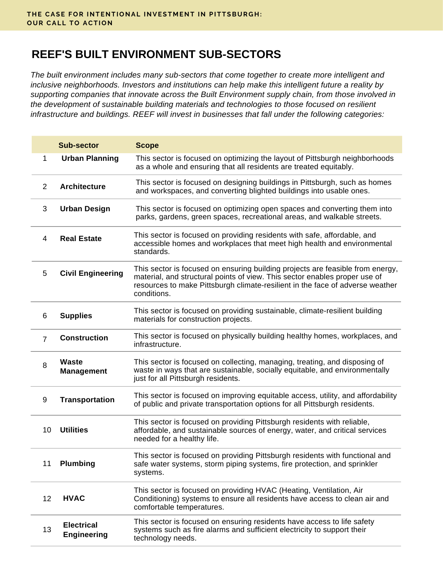# **REEF'S BUILT ENVIRONMENT SUB-SECTORS**

*The built environment includes many sub-sectors that come together to create more intelligent and inclusive neighborhoods. Investors and institutions can help make this intelligent future a reality by supporting companies that innovate across the Built Environment supply chain, from those involved in the development of sustainable building materials and technologies to those focused on resilient infrastructure and buildings. REEF will invest in businesses that fall under the following categories:*

|                | <b>Sub-sector</b>                       | <b>Scope</b>                                                                                                                                                                                                                                                 |
|----------------|-----------------------------------------|--------------------------------------------------------------------------------------------------------------------------------------------------------------------------------------------------------------------------------------------------------------|
| $\mathbf{1}$   | <b>Urban Planning</b>                   | This sector is focused on optimizing the layout of Pittsburgh neighborhoods<br>as a whole and ensuring that all residents are treated equitably.                                                                                                             |
| $\overline{2}$ | <b>Architecture</b>                     | This sector is focused on designing buildings in Pittsburgh, such as homes<br>and workspaces, and converting blighted buildings into usable ones.                                                                                                            |
| 3              | <b>Urban Design</b>                     | This sector is focused on optimizing open spaces and converting them into<br>parks, gardens, green spaces, recreational areas, and walkable streets.                                                                                                         |
| 4              | <b>Real Estate</b>                      | This sector is focused on providing residents with safe, affordable, and<br>accessible homes and workplaces that meet high health and environmental<br>standards.                                                                                            |
| 5              | <b>Civil Engineering</b>                | This sector is focused on ensuring building projects are feasible from energy,<br>material, and structural points of view. This sector enables proper use of<br>resources to make Pittsburgh climate-resilient in the face of adverse weather<br>conditions. |
| 6              | <b>Supplies</b>                         | This sector is focused on providing sustainable, climate-resilient building<br>materials for construction projects.                                                                                                                                          |
| $\overline{7}$ | <b>Construction</b>                     | This sector is focused on physically building healthy homes, workplaces, and<br>infrastructure.                                                                                                                                                              |
| 8              | <b>Waste</b><br><b>Management</b>       | This sector is focused on collecting, managing, treating, and disposing of<br>waste in ways that are sustainable, socially equitable, and environmentally<br>just for all Pittsburgh residents.                                                              |
| 9              | <b>Transportation</b>                   | This sector is focused on improving equitable access, utility, and affordability<br>of public and private transportation options for all Pittsburgh residents.                                                                                               |
| 10             | <b>Utilities</b>                        | This sector is focused on providing Pittsburgh residents with reliable,<br>affordable, and sustainable sources of energy, water, and critical services<br>needed for a healthy life.                                                                         |
|                | 11 Plumbing                             | This sector is focused on providing Pittsburgh residents with functional and<br>safe water systems, storm piping systems, fire protection, and sprinkler<br>systems.                                                                                         |
| 12             | <b>HVAC</b>                             | This sector is focused on providing HVAC (Heating, Ventilation, Air<br>Conditioning) systems to ensure all residents have access to clean air and<br>comfortable temperatures.                                                                               |
| 13             | <b>Electrical</b><br><b>Engineering</b> | This sector is focused on ensuring residents have access to life safety<br>systems such as fire alarms and sufficient electricity to support their<br>technology needs.                                                                                      |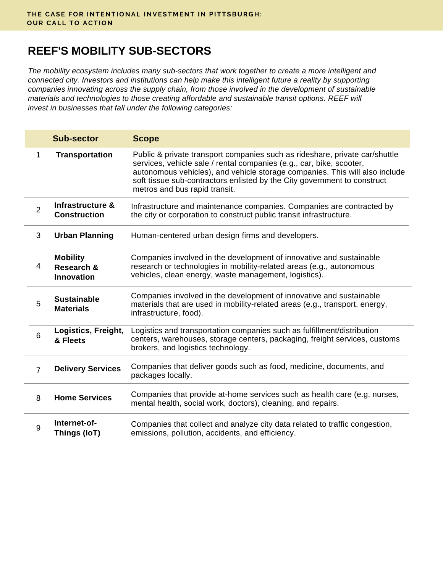# **REEF'S MOBILITY SUB-SECTORS**

*The mobility ecosystem includes many sub-sectors that work together to create a more intelligent and connected city. Investors and institutions can help make this intelligent future a reality by supporting companies innovating across the supply chain, from those involved in the development of sustainable materials and technologies to those creating affordable and sustainable transit options. REEF will invest in businesses that fall under the following categories:*

|                | <b>Sub-sector</b>                                  | <b>Scope</b>                                                                                                                                                                                                                                                                                                                                    |
|----------------|----------------------------------------------------|-------------------------------------------------------------------------------------------------------------------------------------------------------------------------------------------------------------------------------------------------------------------------------------------------------------------------------------------------|
| $\mathbf{1}$   | <b>Transportation</b>                              | Public & private transport companies such as rideshare, private car/shuttle<br>services, vehicle sale / rental companies (e.g., car, bike, scooter,<br>autonomous vehicles), and vehicle storage companies. This will also include<br>soft tissue sub-contractors enlisted by the City government to construct<br>metros and bus rapid transit. |
| $\overline{2}$ | Infrastructure &<br><b>Construction</b>            | Infrastructure and maintenance companies. Companies are contracted by<br>the city or corporation to construct public transit infrastructure.                                                                                                                                                                                                    |
| 3              | <b>Urban Planning</b>                              | Human-centered urban design firms and developers.                                                                                                                                                                                                                                                                                               |
| 4              | <b>Mobility</b><br>Research &<br><b>Innovation</b> | Companies involved in the development of innovative and sustainable<br>research or technologies in mobility-related areas (e.g., autonomous<br>vehicles, clean energy, waste management, logistics).                                                                                                                                            |
| 5              | <b>Sustainable</b><br><b>Materials</b>             | Companies involved in the development of innovative and sustainable<br>materials that are used in mobility-related areas (e.g., transport, energy,<br>infrastructure, food).                                                                                                                                                                    |
| $6\phantom{1}$ | Logistics, Freight,<br>& Fleets                    | Logistics and transportation companies such as fulfillment/distribution<br>centers, warehouses, storage centers, packaging, freight services, customs<br>brokers, and logistics technology.                                                                                                                                                     |
| $\overline{7}$ | <b>Delivery Services</b>                           | Companies that deliver goods such as food, medicine, documents, and<br>packages locally.                                                                                                                                                                                                                                                        |
| 8              | <b>Home Services</b>                               | Companies that provide at-home services such as health care (e.g. nurses,<br>mental health, social work, doctors), cleaning, and repairs.                                                                                                                                                                                                       |
| 9              | Internet-of-<br>Things (IoT)                       | Companies that collect and analyze city data related to traffic congestion,<br>emissions, pollution, accidents, and efficiency.                                                                                                                                                                                                                 |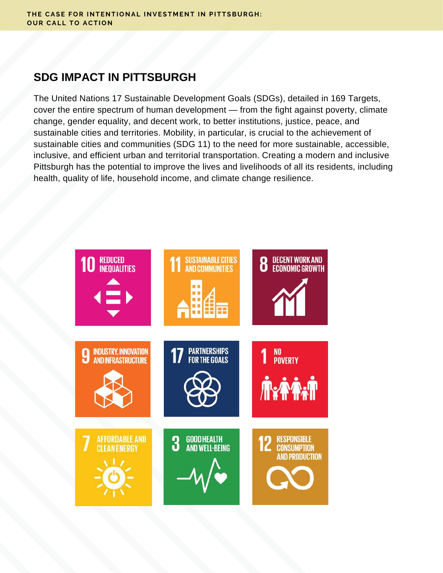## **SDG IMPACT IN PITTSBURGH**

The United Nations 17 Sustainable Development Goals (SDGs), detailed in 169 Targets, cover the entire spectrum of human development — from the fight against poverty, climate change, gender equality, and decent work, to better institutions, justice, peace, and sustainable cities and territories. Mobility, in particular, is crucial to the achievement of sustainable cities and communities (SDG 11) to the need for more sustainable, accessible, inclusive, and efficient urban and territorial transportation. Creating a modern and inclusive Pittsburgh has the potential to improve the lives and livelihoods of all its residents, including health, quality of life, household income, and climate change resilience.